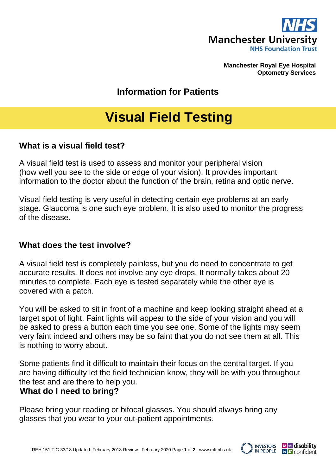

**Manchester Royal Eye Hospital Optometry Services**

**Information for Patients**

# **Visual Field Testing**

### **What is a visual field test?**

A visual field test is used to assess and monitor your peripheral vision (how well you see to the side or edge of your vision). It provides important information to the doctor about the function of the brain, retina and optic nerve.

Visual field testing is very useful in detecting certain eye problems at an early stage. Glaucoma is one such eye problem. It is also used to monitor the progress of the disease.

### **What does the test involve?**

A visual field test is completely painless, but you do need to concentrate to get accurate results. It does not involve any eye drops. It normally takes about 20 minutes to complete. Each eye is tested separately while the other eye is covered with a patch.

You will be asked to sit in front of a machine and keep looking straight ahead at a target spot of light. Faint lights will appear to the side of your vision and you will be asked to press a button each time you see one. Some of the lights may seem very faint indeed and others may be so faint that you do not see them at all. This is nothing to worry about.

Some patients find it difficult to maintain their focus on the central target. If you are having difficulty let the field technician know, they will be with you throughout the test and are there to help you.

### **What do I need to bring?**

Please bring your reading or bifocal glasses. You should always bring any glasses that you wear to your out-patient appointments.